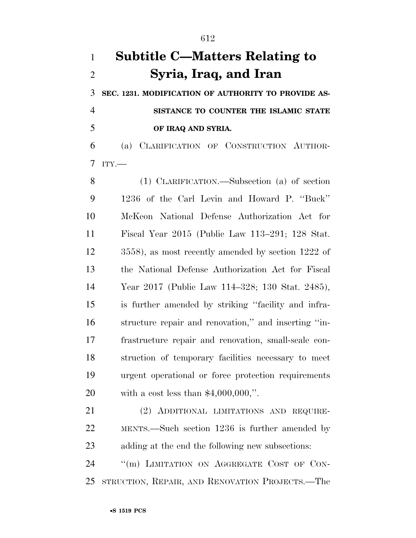## **Subtitle C—Matters Relating to Syria, Iraq, and Iran**

 **SEC. 1231. MODIFICATION OF AUTHORITY TO PROVIDE AS- SISTANCE TO COUNTER THE ISLAMIC STATE OF IRAQ AND SYRIA.** 

 (a) CLARIFICATION OF CONSTRUCTION AUTHOR-ITY.—

 (1) CLARIFICATION.—Subsection (a) of section 1236 of the Carl Levin and Howard P. ''Buck'' McKeon National Defense Authorization Act for Fiscal Year 2015 (Public Law 113–291; 128 Stat. 3558), as most recently amended by section 1222 of the National Defense Authorization Act for Fiscal Year 2017 (Public Law 114–328; 130 Stat. 2485), is further amended by striking ''facility and infra- structure repair and renovation,'' and inserting ''in- frastructure repair and renovation, small-scale con- struction of temporary facilities necessary to meet urgent operational or force protection requirements with a cost less than \$4,000,000,''.

 (2) ADDITIONAL LIMITATIONS AND REQUIRE- MENTS.—Such section 1236 is further amended by adding at the end the following new subsections:

24 "(m) LIMITATION ON AGGREGATE COST OF CON-STRUCTION, REPAIR, AND RENOVATION PROJECTS.—The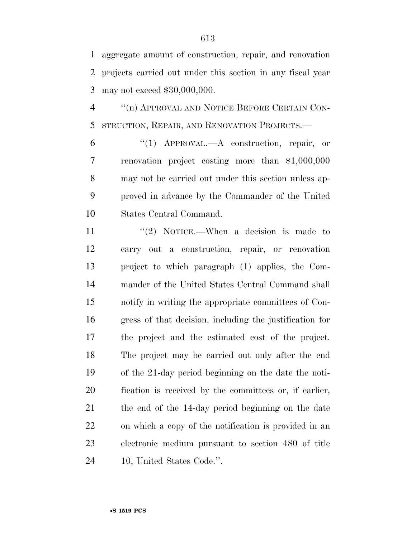aggregate amount of construction, repair, and renovation projects carried out under this section in any fiscal year may not exceed \$30,000,000.

 ''(n) APPROVAL AND NOTICE BEFORE CERTAIN CON-STRUCTION, REPAIR, AND RENOVATION PROJECTS.—

 ''(1) APPROVAL.—A construction, repair, or renovation project costing more than \$1,000,000 may not be carried out under this section unless ap- proved in advance by the Commander of the United States Central Command.

11 ''(2) NOTICE.—When a decision is made to carry out a construction, repair, or renovation project to which paragraph (1) applies, the Com- mander of the United States Central Command shall notify in writing the appropriate committees of Con- gress of that decision, including the justification for the project and the estimated cost of the project. The project may be carried out only after the end of the 21-day period beginning on the date the noti- fication is received by the committees or, if earlier, the end of the 14-day period beginning on the date on which a copy of the notification is provided in an electronic medium pursuant to section 480 of title 10, United States Code.''.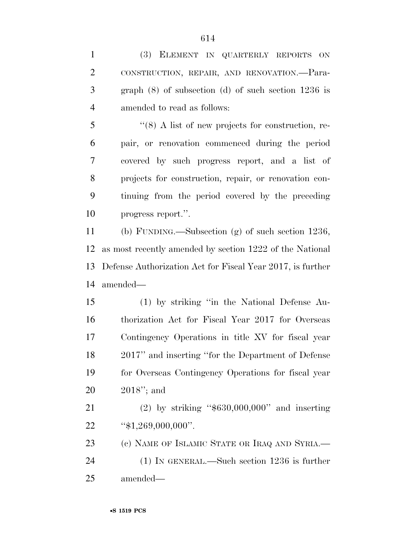| $\mathbf{1}$   | (3) ELEMENT IN QUARTERLY REPORTS ON                           |
|----------------|---------------------------------------------------------------|
| $\overline{2}$ | CONSTRUCTION, REPAIR, AND RENOVATION.-Para-                   |
| 3              | graph $(8)$ of subsection $(d)$ of such section 1236 is       |
| $\overline{4}$ | amended to read as follows:                                   |
| 5              | $\cdot\cdot$ (8) A list of new projects for construction, re- |
| 6              | pair, or renovation commenced during the period               |
| 7              | covered by such progress report, and a list of                |
| 8              | projects for construction, repair, or renovation con-         |
| 9              | tinuing from the period covered by the preceding              |
| 10             | progress report.".                                            |
| 11             | (b) FUNDING.—Subsection (g) of such section $1236$ ,          |
| 12             | as most recently amended by section 1222 of the National      |
| 13             | Defense Authorization Act for Fiscal Year 2017, is further    |
| 14             | amended—                                                      |
| 15             | (1) by striking "in the National Defense Au-                  |
| 16             | thorization Act for Fiscal Year 2017 for Overseas             |
| 17             | Contingency Operations in title XV for fiscal year            |
| 18             | 2017" and inserting "for the Department of Defense            |
| 19             | for Overseas Contingency Operations for fiscal year           |
| 20             | $2018"$ ; and                                                 |
| 21             | $(2)$ by striking "\$630,000,000" and inserting               |
| 22             | " $$1,269,000,000$ ".                                         |
| 23             | (c) NAME OF ISLAMIC STATE OR IRAQ AND SYRIA.—                 |
| 24             | $(1)$ IN GENERAL.—Such section 1236 is further                |
| 25             | amended—                                                      |